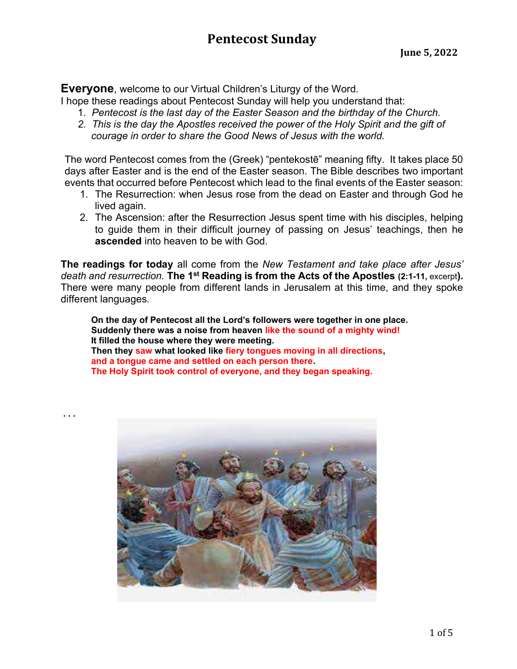**Everyone, welcome to our Virtual Children's Liturgy of the Word.** 

I hope these readings about Pentecost Sunday will help you understand that:

- 1. Pentecost is the last day of the Easter Season and the birthday of the Church.
- 2. This is the day the Apostles received the power of the Holy Spirit and the gift of courage in order to share the Good News of Jesus with the world.

The word Pentecost comes from the (Greek) "pentekostē" meaning fifty. It takes place 50 days after Easter and is the end of the Easter season. The Bible describes two important events that occurred before Pentecost which lead to the final events of the Easter season:

- 1. The Resurrection: when Jesus rose from the dead on Easter and through God he lived again.
- 2. The Ascension: after the Resurrection Jesus spent time with his disciples, helping to guide them in their difficult journey of passing on Jesus' teachings, then he ascended into heaven to be with God.

The readings for today all come from the New Testament and take place after Jesus' death and resurrection. The 1<sup>st</sup> Reading is from the Acts of the Apostles (2:1-11, excerpt). There were many people from different lands in Jerusalem at this time, and they spoke different languages.

On the day of Pentecost all the Lord's followers were together in one place. Suddenly there was a noise from heaven like the sound of a mighty wind! It filled the house where they were meeting. Then they saw what looked like fiery tongues moving in all directions, and a tongue came and settled on each person there. The Holy Spirit took control of everyone, and they began speaking.

. . .

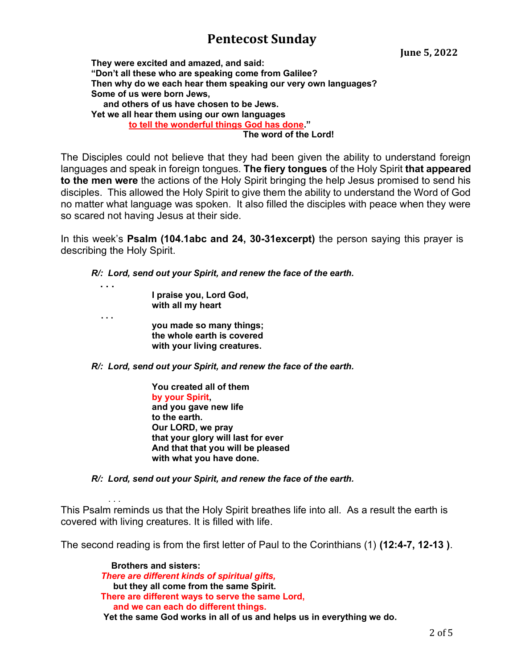June 5, 2022

 They were excited and amazed, and said: "Don't all these who are speaking come from Galilee? Then why do we each hear them speaking our very own languages? Some of us were born Jews, and others of us have chosen to be Jews. Yet we all hear them using our own languages to tell the wonderful things God has done."

The word of the Lord!

The Disciples could not believe that they had been given the ability to understand foreign languages and speak in foreign tongues. The fiery tongues of the Holy Spirit that appeared to the men were the actions of the Holy Spirit bringing the help Jesus promised to send his disciples. This allowed the Holy Spirit to give them the ability to understand the Word of God no matter what language was spoken. It also filled the disciples with peace when they were so scared not having Jesus at their side.

In this week's Psalm (104.1abc and 24, 30-31excerpt) the person saying this prayer is describing the Holy Spirit.

R/: Lord, send out your Spirit, and renew the face of the earth.

 . . . I praise you, Lord God, with all my heart . . . you made so many things; the whole earth is covered with your living creatures.

. . .

R/: Lord, send out your Spirit, and renew the face of the earth.

 You created all of them by your Spirit, and you gave new life to the earth. Our LORD, we pray that your glory will last for ever And that that you will be pleased with what you have done.

R/: Lord, send out your Spirit, and renew the face of the earth.

This Psalm reminds us that the Holy Spirit breathes life into all. As a result the earth is covered with living creatures. It is filled with life.

The second reading is from the first letter of Paul to the Corinthians (1) (12:4-7, 12-13).

 Brothers and sisters: There are different kinds of spiritual gifts, but they all come from the same Spirit. There are different ways to serve the same Lord, and we can each do different things. Yet the same God works in all of us and helps us in everything we do.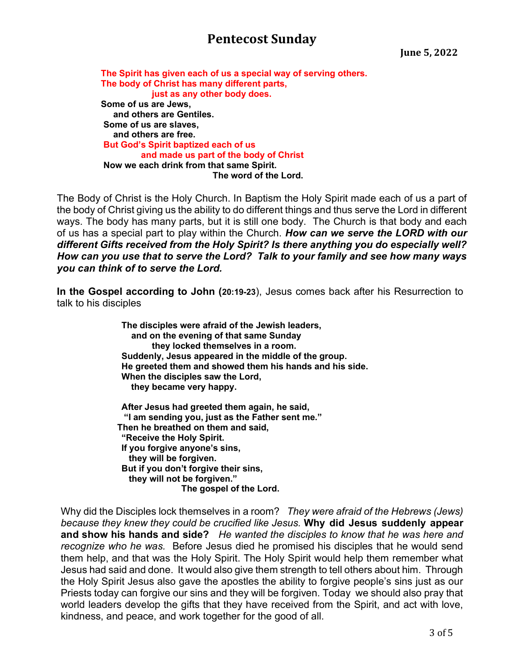June 5, 2022

 The Spirit has given each of us a special way of serving others. The body of Christ has many different parts, just as any other body does. Some of us are Jews, and others are Gentiles. Some of us are slaves, and others are free. But God's Spirit baptized each of us and made us part of the body of Christ Now we each drink from that same Spirit. The word of the Lord.

The Body of Christ is the Holy Church. In Baptism the Holy Spirit made each of us a part of the body of Christ giving us the ability to do different things and thus serve the Lord in different ways. The body has many parts, but it is still one body. The Church is that body and each of us has a special part to play within the Church. How can we serve the LORD with our different Gifts received from the Holy Spirit? Is there anything you do especially well? How can you use that to serve the Lord? Talk to your family and see how many ways you can think of to serve the Lord.

In the Gospel according to John (20:19-23), Jesus comes back after his Resurrection to talk to his disciples

> The disciples were afraid of the Jewish leaders, and on the evening of that same Sunday they locked themselves in a room. Suddenly, Jesus appeared in the middle of the group. He greeted them and showed them his hands and his side. When the disciples saw the Lord, they became very happy.

 After Jesus had greeted them again, he said, "I am sending you, just as the Father sent me." Then he breathed on them and said, "Receive the Holy Spirit. If you forgive anyone's sins, they will be forgiven. But if you don't forgive their sins, they will not be forgiven." The gospel of the Lord.

Why did the Disciples lock themselves in a room? They were afraid of the Hebrews (Jews) because they knew they could be crucified like Jesus. Why did Jesus suddenly appear and show his hands and side? He wanted the disciples to know that he was here and recognize who he was. Before Jesus died he promised his disciples that he would send them help, and that was the Holy Spirit. The Holy Spirit would help them remember what Jesus had said and done. It would also give them strength to tell others about him. Through the Holy Spirit Jesus also gave the apostles the ability to forgive people's sins just as our Priests today can forgive our sins and they will be forgiven. Today we should also pray that world leaders develop the gifts that they have received from the Spirit, and act with love, kindness, and peace, and work together for the good of all.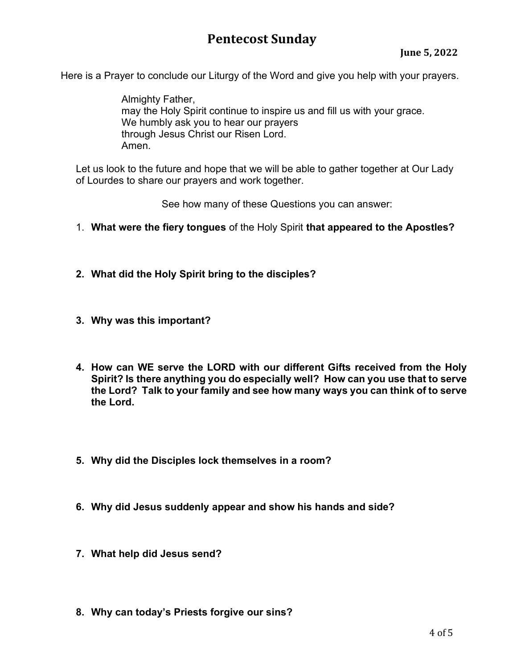Here is a Prayer to conclude our Liturgy of the Word and give you help with your prayers.

Almighty Father, may the Holy Spirit continue to inspire us and fill us with your grace. We humbly ask you to hear our prayers through Jesus Christ our Risen Lord. Amen.

 Let us look to the future and hope that we will be able to gather together at Our Lady of Lourdes to share our prayers and work together.

See how many of these Questions you can answer:

- 1. What were the fiery tongues of the Holy Spirit that appeared to the Apostles?
- 2. What did the Holy Spirit bring to the disciples?
- 3. Why was this important?
- 4. How can WE serve the LORD with our different Gifts received from the Holy Spirit? Is there anything you do especially well? How can you use that to serve the Lord? Talk to your family and see how many ways you can think of to serve the Lord.
- 5. Why did the Disciples lock themselves in a room?
- 6. Why did Jesus suddenly appear and show his hands and side?
- 7. What help did Jesus send?
- 8. Why can today's Priests forgive our sins?